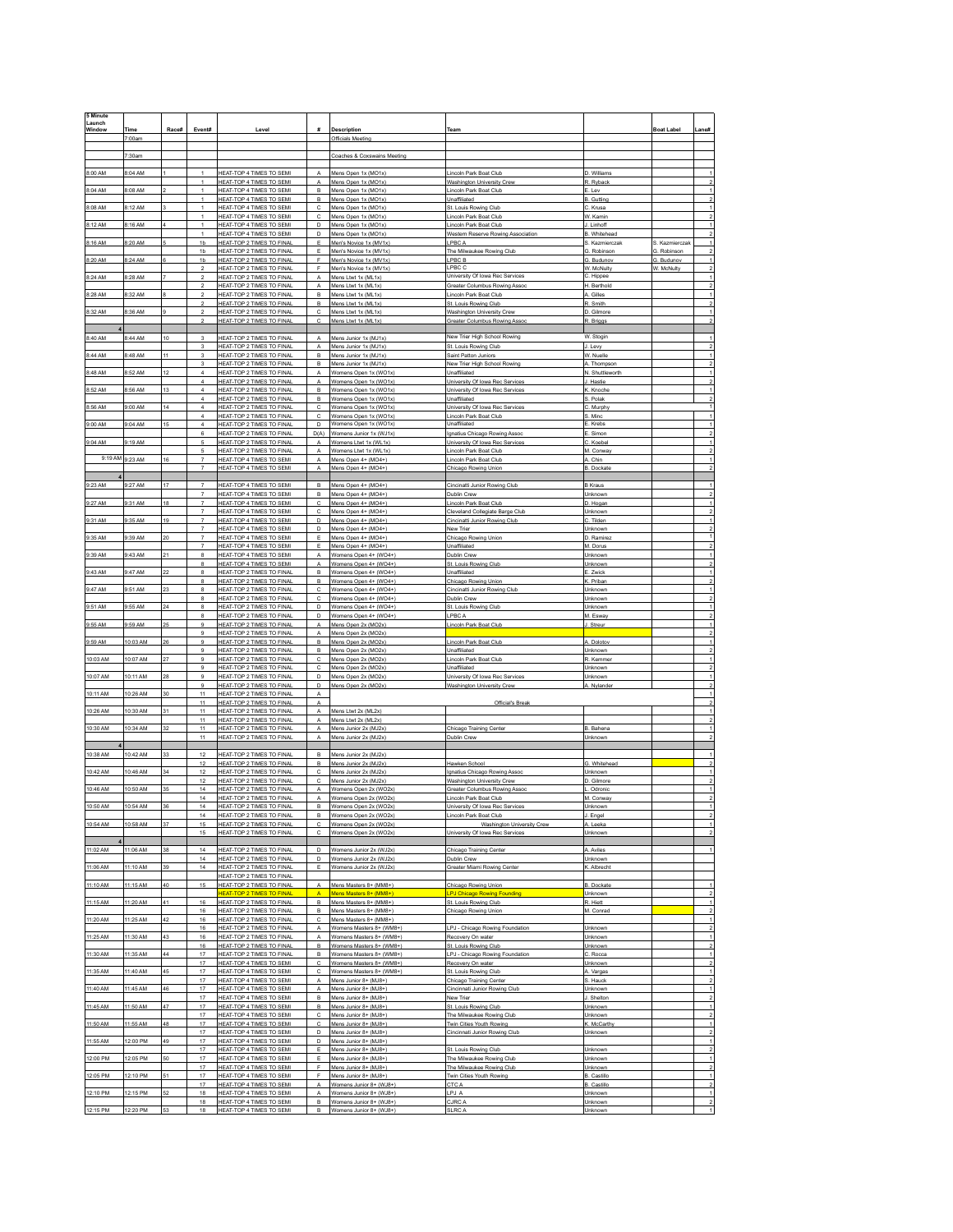| 5 Minute<br>Launch |          |       |                                  |                                                               |                              |                                                      |                                                                 |                                  |                               |                                        |
|--------------------|----------|-------|----------------------------------|---------------------------------------------------------------|------------------------------|------------------------------------------------------|-----------------------------------------------------------------|----------------------------------|-------------------------------|----------------------------------------|
| Window             | Time     | Race# | Event#                           | Level                                                         |                              | <b>Description</b>                                   | Team                                                            |                                  | <b>Boat Label</b>             | Lane#                                  |
|                    | 7:00am   |       |                                  |                                                               |                              | <b>Officials Meeting</b>                             |                                                                 |                                  |                               |                                        |
|                    | 30am     |       |                                  |                                                               |                              | oaches & Coxswains Meetin                            |                                                                 |                                  |                               |                                        |
| 8:00 AM            | 8:04 AM  |       |                                  | HEAT-TOP 4 TIMES TO SEMI                                      |                              | Mens Open 1x (MO1x)                                  | incoln Park Boat Clut                                           | D. William                       |                               |                                        |
|                    |          |       | 1                                | HEAT-TOP 4 TIMES TO SEMI                                      | A                            | Mens Open 1x (MO1x)                                  | Washington University Crew                                      | R. Ryback                        |                               |                                        |
| 8:04 AM            | 8:08 AM  |       | $\overline{1}$<br>$\overline{1}$ | HEAT-TOP 4 TIMES TO SEMI<br>HEAT-TOP 4 TIMES TO SEMI          | B<br><b>B</b>                | Mens Open 1x (MO1x)<br>Mens Open 1x (MO1x)           | Lincoln Park Boat Club<br>Unaffiliated                          | E. Lev<br><b>B.</b> Gutting      |                               |                                        |
| 8:08 AM            | 8:12 AM  |       |                                  | HEAT-TOP 4 TIMES TO SEMI                                      | C                            | Mens Open 1x (MO1x)                                  | St. Louis Rowing Club                                           | C. Krusa                         |                               |                                        |
| :12 AM             | :16 AM   |       |                                  | HEAT-TOP 4 TIMES TO SEMI                                      | D                            | Mens Open 1x (MO1x)<br>Mens Open 1x (MO1x)           | incoln Park Boat Club<br>incoln Park Boat Club                  | W. Kamin<br>J. Linhof            |                               |                                        |
|                    |          |       |                                  | HEAT-TOP 4 TIMES TO SEMI                                      | $\mathsf{D}$                 | Mens Open 1x (MO1x)                                  | Western Reserve Rowing Associatio                               | <b>B.</b> Whitehead              |                               |                                        |
| :16 AM             | 8:20 AM  |       | 1b<br>1 <sub>b</sub>             | <b>HEAT-TOP 2 TIMES TO FINAL</b><br>HEAT-TOP 2 TIMES TO FINAL | E<br>E                       | Men's Novice 1x (MV1x)<br>Men's Novice 1x (MV1x)     | LPBC A<br>The Milwaukee Rowing Club                             | S. Kazmierczak<br>G. Robinson    | S. Kazmierczał<br>3. Robinson |                                        |
| 8:20 AM            | 8:24 AM  |       | 1 <sub>b</sub>                   | HEAT-TOP 2 TIMES TO FINAL                                     | -F                           | Men's Novice 1x (MV1x)                               | <b>PRC R</b>                                                    | G. Budunov                       | G. Budunov                    |                                        |
| 8:24 AM            | 8:28 AM  |       | $\mathfrak{p}$<br>$\overline{2}$ | HEAT-TOP 2 TIMES TO FINAL<br>HEAT-TOP 2 TIMES TO FINAL        | E<br>$\overline{A}$          | Men's Novice 1x (MV1x)<br>Mens Ltwt 1x (ML1x)        | PBC C<br>University Of Iowa Rec Services                        | W McNulty<br>C. Hippee           | W McNulty                     |                                        |
|                    |          |       | $\overline{2}$                   | HEAT-TOP 2 TIMES TO FINAL                                     | $\wedge$                     | Mens Ltwt 1x (ML1x)                                  | <b>Sreater Columbus Rowing Assor</b>                            | H. Berthold                      |                               |                                        |
| 8:28 AM            | 8:32 AM  |       | $\mathfrak{p}$                   | HEAT-TOP 2 TIMES TO FINAL<br><b>HEAT-TOP 2 TIMES TO FINAL</b> | B<br>B                       | Mens I twt 1x (MI 1x)<br>Mens Ltwt 1x (ML1x)         | incoln Park Boat Clut<br>St. Louis Rowing Club                  | A. Gilles<br>R. Smith            |                               |                                        |
| 8:32 AM            | 8:36 AM  |       | $\overline{2}$                   | HEAT-TOP 2 TIMES TO FINAL                                     | c                            | Mens Ltwt 1x (ML1x)                                  | <b>Washington University Crew</b>                               | D. Gilmore                       |                               |                                        |
|                    |          |       | $\overline{2}$                   | HEAT-TOP 2 TIMES TO FINAL                                     | C                            | Mens Ltwt 1x (ML1x)                                  | Greater Columbus Rowing Assoc                                   | R. Briggs                        |                               |                                        |
| 8:40 AM            | 8:44 AM  | 10    | 3                                | HEAT-TOP 2 TIMES TO FINAL                                     | A                            | Mens Junior 1x (MJ1x)                                | New Trier High School Rowing                                    | W. Stogin                        |                               |                                        |
| 44 AM              | 8:48 AM  |       | 3<br>$\overline{3}$              | HEAT-TOP 2 TIMES TO FINAL<br>HEAT-TOP 2 TIMES TO FINAL        | A<br>$\mathbf{B}$            | Mens Junior 1x (MJ1x)<br>Mens Junior 1x (MJ1x)       | St. Louis Rowing Club<br>Saint Patton Juniors                   | I. Levy<br>W. Nuelle             |                               |                                        |
|                    |          |       | $\overline{3}$                   | <b>HEAT-TOP 2 TIMES TO FINAL</b>                              | B                            | Mens Junior 1x (MJ1x)                                | New Trier High School Rowing                                    | A. Thompson                      |                               |                                        |
| 8:48 AM            | 8:52 AM  |       | $\overline{4}$<br>$\ddot{4}$     | HEAT-TOP 2 TIMES TO FINAL<br>HEAT-TOP 2 TIMES TO FINAL        | A<br>A                       | Womens Open 1x (WO1x)<br>Womens Open 1x (WO1x)       | Unaffiliated<br>University Of Iowa Rec Services                 | N. Shuttleworth<br>J. Hastie     |                               |                                        |
| 8:52 AM            | 8:56 AM  |       | 4                                | HEAT-TOP 2 TIMES TO FINAL                                     | $\mathbf{B}$                 | Womens Open 1x (WO1x)                                | University Of Iowa Rec Services                                 | K. Knoche                        |                               |                                        |
| 8:56 AM            | 9:00 AM  |       | 4<br>$\ddot{4}$                  | HEAT-TOP 2 TIMES TO FINAL<br>HEAT-TOP 2 TIMES TO FINAL        | B<br>C                       | Womens Open 1x (WO1x)<br>Womens Open 1x (WO1x)       | Jnaffiliated<br>University Of Iowa Rec Service                  | S. Polak<br>C. Murph             |                               |                                        |
|                    |          |       | 4                                | HEAT-TOP 2 TIMES TO FINAL                                     | $\mathbb{C}$                 | Womens Open 1x (WO1x)                                | Lincoln Park Boat Club                                          | S. Mino                          |                               |                                        |
| 9:00 AM            | 9:04 AM  |       | $\overline{a}$<br>6              | <b>HEAT-TOP 2 TIMES TO FINAL</b><br>HEAT-TOP 2 TIMES TO FINAL | D<br>D(A)                    | Womens Open 1x (WO1x)<br>Womens Junior 1x (WJ1x)     | Unaffiliated<br>Ignatius Chicago Rowing Assor                   | E. Krebs<br>E. Simon             |                               |                                        |
| 9:04 AM            | 9:19 AM  |       | 5                                | HEAT-TOP 2 TIMES TO FINAL                                     | A                            | Womens Ltwt 1x (WL1x)                                | University Of Iowa Rec Services                                 | C. Koebel                        |                               |                                        |
| 9:19 AM 9:23 AM    |          |       | 5<br>$\overline{7}$              | HEAT-TOP 2 TIMES TO FINAL<br>HEAT-TOP 4 TIMES TO SEMI         | $\wedge$<br>A                | Womens Ltwt 1x (WL1x)<br>Mens Open 4+ (MO4+)         | incoln Park Boat Club<br>incoln Park Boat Club                  | M. Conway<br>A. Chin             |                               |                                        |
|                    |          |       | $\overline{7}$                   | HEAT-TOP 4 TIMES TO SEMI                                      | A                            | Mens Open 4+ (MO4+)                                  | Chicago Rowing Union                                            | <b>B.</b> Dockate                |                               |                                        |
| :23 AM             | 9:27 AM  |       | $\overline{7}$                   | HEAT-TOP 4 TIMES TO SEMI                                      | B                            | Mens Open 4+ (MO4+)                                  | Cincinatti Junior Rowing Club                                   | <b>B</b> Kraus                   |                               |                                        |
|                    |          |       | $\overline{7}$                   | HEAT-TOP 4 TIMES TO SEMI                                      | B                            | Mens Open 4+ (MO4+)                                  | Dublin Crew                                                     | Unknown                          |                               |                                        |
| 9:27 AM            | 9:31 AM  |       | $\overline{7}$<br>$\overline{7}$ | HEAT-TOP 4 TIMES TO SEMI<br>HEAT-TOP 4 TIMES TO SEMI          | c<br>C                       | Mens Open 4+ (MO4+)<br>Mens Open 4+ (MO4+)           | Lincoln Park Boat Club<br>Cleveland Collegiate Barge Club       | D. Hogan<br>Unknown              |                               |                                        |
| 9:31 AM            | 9:35 AM  |       | 7                                | HEAT-TOP 4 TIMES TO SEMI                                      | D                            | Mens Open 4+ (MO4+)                                  | Cincinatti Junior Rowing Club                                   | Tilden                           |                               |                                        |
|                    | :39 AM   |       |                                  | HEAT-TOP 4 TIMES TO SEM                                       | D                            | Mens Open 4+ (MO4+)                                  | <b>New Trier</b><br>Chicago Rowing Unior                        | Unknowr                          |                               |                                        |
| :35 AM             |          |       | $\overline{7}$                   | HEAT-TOP 4 TIMES TO SEMI<br>HEAT-TOP 4 TIMES TO SEMI          | E<br>E                       | Mens Open 4+ (MO4+<br>Mens Onen 4+ (MO4+)            | Unaffiliated                                                    | D. Ramire<br>M. Dorus            |                               |                                        |
| 9:39 AM            | 9:43 AM  |       | 8                                | HEAT-TOP 4 TIMES TO SEMI                                      | $\overline{A}$               | Womens Open 4+ (WO4+)                                | Dublin Crew                                                     | Unknown                          |                               |                                        |
| 9:43 AM            | 9:47 AM  |       | 8<br>8                           | HEAT-TOP 4 TIMES TO SEMI<br>HEAT-TOP 2 TIMES TO FINAL         | $\mathsf{A}$<br><b>B</b>     | Womens Open 4+ (WO4+)<br>Womens Open 4+ (WO4+)       | St. Louis Rowing Club<br>Unaffiliated                           | Unknown<br>E. Zwick              |                               |                                        |
|                    |          |       | 8                                | HEAT-TOP 2 TIMES TO FINAL                                     | B                            | Womens Open 4+ (WO4+)                                | Chicago Rowing Union                                            | K. Priban                        |                               |                                        |
| 9:47 AM            | 9:51 AM  |       |                                  | HEAT-TOP 2 TIMES TO FINA<br>HEAT-TOP 2 TIMES TO FINAL         | C<br>c                       | Womens Open 4+ (WO4+)<br>Womens Open 4+ (WO4+        | Cincinatti Junior Rowing<br>Jublin Cre                          | Unknown<br>Unknowr               |                               |                                        |
| 9:51 AM            | 9:55 AM  |       | s.                               | HEAT-TOP 2 TIMES TO FINAL                                     | $\mathsf{D}$                 | Womens Open 4+ (WO4+)                                | St. Louis Rowing Club                                           | Unknowr                          |                               |                                        |
| 9:55 AM            | 9:59 AM  |       | 8<br>9                           | HEAT-TOP 2 TIMES TO FINAL<br>HEAT-TOP 2 TIMES TO FINAL        | D<br>A                       | Womens Open 4+ (WO4+)<br>Mens Open 2x (MO2x)         | LPBC A<br>Lincoln Park Boat Club                                | M. Esway<br>J. Streur            |                               |                                        |
|                    |          |       | 9                                | HEAT-TOP 2 TIMES TO FINAL                                     | A                            | Mens Open 2x (MO2x)                                  |                                                                 |                                  |                               |                                        |
| 9:59 AM            | 10:03 AM |       | 9                                | HEAT-TOP 2 TIMES TO FINAL<br>HEAT-TOP 2 TIMES TO FINAL        | B<br>B                       | Mens Open 2x (MO2x)<br>Mens Open 2x (MO2x)           | incoln Park Boat Club<br>Inaffiliated                           | A. Dolotoy<br>Jnknown            |                               |                                        |
| 10:03 AM           | 10:07 AM |       | 9                                | HEAT-TOP 2 TIMES TO FINAL                                     | c                            | Mens Open 2x (MO2x)                                  | incoln Park Boat Club                                           | R. Kemn                          |                               |                                        |
| 10:07 AM           | 10:11 AM |       | $\mathbf{Q}$<br>$\mathbf{Q}$     | HEAT-TOP 2 TIMES TO FINAL<br><b>HEAT-TOP 2 TIMES TO FINAL</b> | C<br>D                       | Mens Open 2x (MO2x)<br>Mens Open 2x (MO2x)           | <b>Jnaffiliated</b><br>University Of Iowa Rec Services          | Inknown<br>Unknown               |                               |                                        |
|                    |          |       | 9                                | HEAT-TOP 2 TIMES TO FINAL                                     | D                            | Mens Open 2x (MO2x)                                  | <b>Washington University Crew</b>                               | A. Nylande                       |                               |                                        |
| 10:11 AM           | 10:26 AM | 30    | 11<br>11                         | HEAT-TOP 2 TIMES TO FINAL<br>HEAT-TOP 2 TIMES TO FINAL        | A<br>A                       |                                                      | Official's Break                                                |                                  |                               |                                        |
| 10:26 AM           | 10:30 AM |       | 11                               | HEAT-TOP 2 TIMES TO FINAL                                     | А                            | Mens Ltwt 2x (ML2x)                                  |                                                                 |                                  |                               |                                        |
| 10:30 AM           | 10:34 AM |       | 11<br>11                         | HEAT-TOP 2 TIMES TO FINAL<br>HEAT-TOP 2 TIMES TO FINAL        | $\wedge$<br>A                | Mens Ltwt 2x (ML2x)<br>Mens Junior 2x (MJ2x)         | Chicago Training Cente                                          | B. Bahen                         |                               |                                        |
|                    |          |       | 11                               | HEAT-TOP 2 TIMES TO FINAL                                     | A                            | Mens Junior 2x (MJ2x)                                | Dublin Crev                                                     | Unknown                          |                               |                                        |
|                    |          |       |                                  | HEAT-TOP 2 TIMES TO FINAL                                     |                              |                                                      |                                                                 |                                  |                               |                                        |
| 10:38 AM           | 10:42 AM |       | 12<br>12                         | HEAT-TOP 2 TIMES TO FINAL                                     | $\mathbf{B}$<br>B            | Mens Junior 2x (MJ2x)<br>Mens Junior 2x (MJ2x)       | Hawken School                                                   | G. Whitehead                     |                               |                                        |
| 10:42 AM           | 10:46 AM |       | 12<br>12                         | HEAT-TOP 2 TIMES TO FINAL<br>HEAT-TOP 2 TIMES TO FINAL        | $\mathbf{C}$                 | Mens Junior 2x (MJ2x)<br>Mens Junior 2x (MJ2x)       | gnatius Chicago Rowing Assoc<br>Washington University Cre       | Jnknown<br>D. Gilmo              |                               |                                        |
| 10:46 AM           | 10:50 AM |       | 14                               | HEAT-TOP 2 TIMES TO FINAL                                     | c<br>$\mathbf{A}$            | Womens Open 2x (WO2x)                                | <b>Sreater Columbus Rowing Asso</b>                             | Odroni                           |                               |                                        |
|                    |          |       | 14                               | HEAT-TOP 2 TIMES TO FINAL<br>HEAT-TOP 2 TIMES TO FINAL        | A                            | Womens Open 2x (WO2x)<br>Womens Open 2x (WO2x)       | incoln Park Boat Club<br><b>University Of Jowa Rec Services</b> | M. Conwar                        |                               |                                        |
|                    | 10:54 AM |       | 14<br>14                         | HEAT-TOP 2 TIMES TO FINAL                                     | B<br>B                       | Womens Open 2x (WO2x)                                | incoln Park Boat Club                                           | Unknown<br>J. Engel              |                               |                                        |
| 10:54 AM           | 10:58 AM |       | 15<br>15                         | <b>HEAT-TOP 2 TIMES TO FINAL</b><br>HEAT-TOP 2 TIMES TO FINAL | C<br>$\mathbf{C}$            | Womens Open 2x (WO2x)                                | Washington University Crew<br>Iniversity Of Iowa Rec Services   | A. Leeka                         |                               |                                        |
|                    |          |       |                                  |                                                               |                              | Womens Open 2x (WO2x)                                |                                                                 | Unknown                          |                               |                                        |
| 11:02 AM           | 11:06 AM |       | 14                               | HEAT-TOP 2 TIMES TO FINAL<br><b>HEAT-TOP 2 TIMES TO FINAL</b> | D                            | Womens Junior 2x (WJ2x)                              | Chicago Training Center                                         | A. Aviles                        |                               | $\overline{1}$                         |
| 11:06 AM           | 11:10 AM |       | 14<br>14                         | HEAT-TOP 2 TIMES TO FINAL                                     | D<br>E                       | Womens Junior 2x (WJ2x)<br>Womens Junior 2x (WJ2x)   | <b>Dublin Crev</b><br><b>Greater Miami Rowing Center</b>        | Unknown<br>K. Albrecht           |                               |                                        |
|                    |          |       |                                  | HEAT-TOP 2 TIMES TO FINAL                                     |                              |                                                      |                                                                 |                                  |                               |                                        |
| 11:10 AM           | 11:15 AM | 40    | 15                               | HEAT-TOP 2 TIMES TO FINAL<br><b>HEAT-TOP 2 TIMES TO FINAL</b> | A<br>A                       | Mens Masters 8+ (MM8+)<br>Mens Masters 8+ (MM8+      | Chicago Rowing Union<br>PJ Chicago Rowing Founding              | <b>B.</b> Dockate<br>Unknown     |                               |                                        |
| 11:15 AM           | 11:20 AM |       | 16                               | HEAT-TOP 2 TIMES TO FINAL                                     | B                            | Mens Masters 8+ (MM8+)                               | St. Louis Rowing Club                                           | R. Hiett                         |                               | $\overline{1}$                         |
| 11:20 AM           | 11:25 AM |       | 16<br>16                         | HEAT-TOP 2 TIMES TO FINAL<br>HEAT-TOP 2 TIMES TO FINAL        | $\mathbf{B}$<br>$\mathsf{C}$ | Mens Masters 8+ (MM8+)<br>Mens Masters 8+ (MM8+)     | Chicago Rowing Union                                            | M. Conrad                        |                               | $\overline{2}$<br>$\ddot{\phantom{0}}$ |
|                    |          |       | 16                               | HEAT-TOP 2 TIMES TO FINAL                                     | $\overline{A}$               | Womens Masters 8+ (WM8+)                             | LPJ - Chicago Rowing Foundation                                 | Unknown                          |                               | $\overline{2}$                         |
| 11:25 AM           | 11:30 AM | 43    | 16<br>16                         | HEAT-TOP 2 TIMES TO FINAL<br>HEAT-TOP 2 TIMES TO FINAL        | A<br>$\mathbf{B}$            | Womens Masters 8+ (WM8+)<br>Womens Masters 8+ (WM8+) | Recovery On water<br>St. Louis Rowing Club                      | Unknown<br>Unknown               |                               | $\overline{1}$                         |
| 11:30 AM           | 11:35 AM |       | 17                               | HEAT-TOP 2 TIMES TO FINAL                                     | B                            | Womens Masters 8+ (WM8+)                             | PJ - Chicago Rowing Foundation                                  | C. Rocca                         |                               |                                        |
| 11:35 AM           | 11:40 AM |       | 17<br>17                         | HEAT-TOP 4 TIMES TO SEMI<br>HEAT-TOP 4 TIMES TO SEMI          | c                            | Womens Masters 8+ (WM8+)<br>Womens Masters 8+ (WM8+) | Recovery On wate<br>St. Louis Rowing Club                       | Unknown<br>A. Varga              |                               | $\overline{1}$                         |
|                    |          |       | 17                               | HEAT-TOP 4 TIMES TO SEMI                                      | A                            | Mens Junior 8+ (MJ8+)                                | Chicago Training Center                                         | S. Hauck                         |                               | $\mathfrak{p}$                         |
| 11:40 AM           | 11:45 AM | 46    | 17<br>$17\,$                     | HEAT-TOP 4 TIMES TO SEMI<br>HEAT-TOP 4 TIMES TO SEMI          | A<br>B                       | Mens Junior 8+ (MJ8+)<br>Mens Junior 8+ (MJ8+)       | Cincinnati Junior Rowing Club<br>New Trier                      | Unknown<br>J. Shelton            |                               | $\sqrt{2}$                             |
| 11:45 AM           | 11:50 AM | 47    | 17                               | HEAT-TOP 4 TIMES TO SEMI                                      | B                            | Mens Junior 8+ (MJ8+)                                | St. Louis Rowing Club                                           | Unknown                          |                               | $\overline{1}$                         |
| 11:50 AM           | 11:55 AM | 48    | 17<br>17                         | HEAT-TOP 4 TIMES TO SEMI                                      | C<br>C                       | Mens Junior 8+ (MJ8+)                                | The Milwaukee Rowing Club                                       | Unknown<br>K. McCarthy           |                               | ź<br>$\overline{1}$                    |
|                    |          |       | 17                               | HEAT-TOP 4 TIMES TO SEMI<br>HEAT-TOP 4 TIMES TO SEMI          | D                            | Mens Junior 8+ (MJ8+)<br>Mens Junior 8+ (MJ8+        | Twin Cities Youth Rowing<br>Cincinnati Junior Rowing Clut       | Unknown                          |                               | $\overline{2}$                         |
| 11:55 AM           | 12:00 PM |       | 17<br>17                         | HEAT-TOP 4 TIMES TO SEMI<br>HEAT-TOP 4 TIMES TO SEMI          | D<br>E                       | Mens Junior 8+ (MJ8+)<br>Mens Junior 8+ (MJ8+)       | St. Louis Rowing Club                                           | Unknown                          |                               | $\overline{1}$<br>$\overline{2}$       |
| 12:00 PM           | 12:05 PM | 50    | $17\,$                           | HEAT-TOP 4 TIMES TO SEMI                                      | E                            | Mens Junior 8+ (MJ8+)                                | The Milwaukee Rowing Club                                       | Unknown                          |                               | $\overline{1}$                         |
|                    |          |       | 17                               | HEAT-TOP 4 TIMES TO SEMI                                      | -F                           | Mens Junior 8+ (MJ8+)                                | The Milwaukee Rowing Club                                       | Unknown                          |                               | $\overline{2}$                         |
| 12:05 PM           | 12:10 PM |       | 17<br>17                         | HEAT-TOP 4 TIMES TO SEMI<br><b>HEAT-TOP 4 TIME</b>            |                              | Mens Junior 8+ (MJ8+)<br>Womens Junior 8+ (WJ8       | Twin Cities Youth Rowing<br><b>CTCA</b>                         | <b>B.</b> Castillo<br>3. Castill |                               |                                        |
| 12:10 PM           | 12:15 PM |       | 18                               | HEAT-TOP 4 TIMES TO SEMI                                      | A                            | Womens Junior 8+ (WJ8+)                              | PJ A                                                            | Unknowr                          |                               | $\overline{1}$                         |
| 12:15 PM           | 12:20 PM |       | 18<br>18                         | HEAT-TOP 4 TIMES TO SEMI<br>HEAT-TOP 4 TIMES TO SEMI          | R<br>B                       | Womens Junior 8+ (WJ8+)<br>Womens Junior 8+ (WJ8+)   | CJRC A<br>SLRC A                                                | Unknown<br>Unknown               |                               |                                        |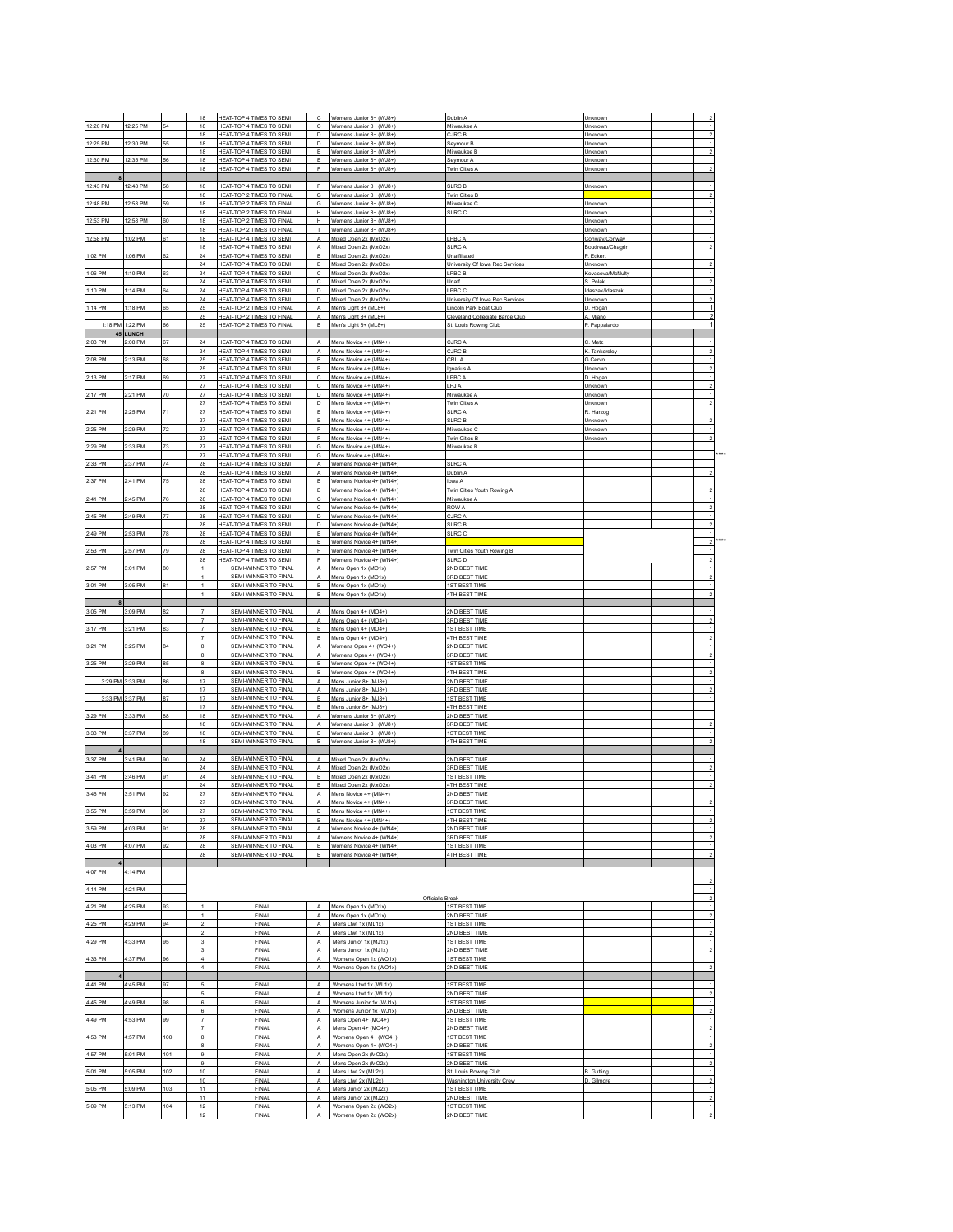|          |                 |     |                                  | HEAT-TOP 4 TIMES TO SEM                                     | C                 | Womens Junior 8+ (WJ8                              | Jublin.                                                   |                              |  |
|----------|-----------------|-----|----------------------------------|-------------------------------------------------------------|-------------------|----------------------------------------------------|-----------------------------------------------------------|------------------------------|--|
| 12:20 PM | 12:25 PM        |     | 18                               | HEAT-TOP 4 TIMES TO SEM                                     | C.                | Womens Junior 8+ (WJ8+                             | Milwaukee A                                               | Unknowr                      |  |
|          |                 |     | 18                               | HEAT-TOP 4 TIMES TO SEMI                                    | D                 | Womens Junior 8+ (WJ8+)                            | CJRC B                                                    | Unknown                      |  |
| 12:25 PM | 12:30 PM        |     | 18                               | HEAT-TOP 4 TIMES TO SEMI                                    | D                 | Womens Junior 8+ (WJ8+)                            | Seymour <sub>B</sub>                                      | Unknown                      |  |
|          |                 |     | 18                               | HEAT-TOP 4 TIMES TO SEMI                                    | E                 | Womens Junior 8+ (WJ8+)                            | Milwaukee B                                               | Unknown                      |  |
| 12:30 PM | 12:35 PM        |     |                                  | HEAT-TOP 4 TIMES TO SEM                                     | E                 | Womens Junior 8+ (WJ8+)                            | Sevmour A                                                 | Unknowr                      |  |
|          |                 |     | 18                               | <b>HEAT-TOP 4 TIMES TO SEMI</b>                             |                   | Womens Junior 8+ (WJ8+)                            | Twin Cities A                                             | Unknowr                      |  |
| 12:43 PM | 12:48 PM        |     | 18                               | HEAT-TOP 4 TIMES TO SEMI                                    | F.                | Womens Junior 8+ (WJ8+)                            | SLRC B                                                    | Unknown                      |  |
|          |                 |     | 18                               | HEAT-TOP 2 TIMES TO FINAL                                   | G                 | Womens Junior 8+ (WJ8+)                            | Twin Cities B                                             |                              |  |
| 12:48 PM | 12:53 PM        | 59  | 18                               | HEAT-TOP 2 TIMES TO FINAL                                   | G                 | Womens Junior 8+ (WJ8+)                            | Milwaukee C                                               | Unknown                      |  |
| 12:53 PM | 12:58 PM        |     | 18<br>18                         | HEAT-TOP 2 TIMES TO FINAL<br>HEAT-TOP 2 TIMES TO FINA       | H<br>H            | Womens Junior 8+ (WJ8+)<br>Womens Junior 8+ (WJ8+) | SLRC C                                                    | Unknown                      |  |
|          |                 |     | 18                               | HEAT-TOP 2 TIMES TO FINA                                    |                   | Womens Junior 8+ (WJ8+                             |                                                           | Jnknowr                      |  |
| 12:58 PM | 1:02 PM         |     | 18                               | HEAT-TOP 4 TIMES TO SEMI                                    | A                 | Mixed Open 2x (MxO2x)                              | LPBC A                                                    |                              |  |
|          |                 |     | 18                               | HEAT-TOP 4 TIMES TO SEMI                                    | A                 | Mixed Open 2x (MxO2x)                              | SLRC A                                                    | Boudreau/Chagrin             |  |
| 1:02 PM  | 1:06 PM         |     | 24                               | HEAT-TOP 4 TIMES TO SEMI                                    | в                 | Mixed Open 2x (MxO2x)                              | Unaffiliated                                              | P. Eckert                    |  |
| 1:06 PM  | 1:10 PM         |     | 24<br>24                         | HEAT-TOP 4 TIMES TO SEMI<br>HEAT-TOP 4 TIMES TO SEMI        | в<br>C            | Mixed Open 2x (MxO2x)                              | University Of Iowa Rec Services<br>LPBC B                 | Unknown                      |  |
|          |                 |     |                                  | HEAT-TOP 4 TIMES TO                                         | c                 | Mixed Open 2x (MxO2x)<br>Mixed Open 2x (MxO        | Jnafi                                                     | Kovacova/McNulty<br>S. Polal |  |
| 1:10 PM  | 1:14 PM         |     | 24                               | <b>HEAT-TOP 4 TIMES TO SEM</b>                              | D                 | Mixed Open 2x (MxO2x)                              | PBC                                                       | Idaszak/Idaszal              |  |
|          |                 |     | 24                               | HEAT-TOP 4 TIMES TO SEM                                     | D.                | Mixed Open 2x (MxO2x                               | Jniversity Of Iowa Rec Servic                             | Unkno                        |  |
| 1:14 PM  | 1:18 PM         |     | 25                               | HEAT-TOP 2 TIMES TO FINAL                                   | A                 | Men's Light 8+ (ML8+)                              | Lincoln Park Boat Club                                    | D. Hoga                      |  |
|          | 1:18 PM 1:22 PM |     | 25<br>25                         | HEAT-TOP 2 TIMES TO FINAL<br>HEAT-TOP 2 TIMES TO FINAL      | А<br>в            | Men's Light 8+ (ML8+)<br>Men's Light 8+ (ML8+)     | Cleveland Collegiate Barge Club<br>St. Louis Rowing Club  | A. Miano<br>P. Pappalardo    |  |
| 45       | <b>LUNCH</b>    |     |                                  |                                                             |                   |                                                    |                                                           |                              |  |
| 2:03 PM  | 2:08 PM         |     | 24                               | HEAT-TOP 4 TIMES TO SEMI                                    | А                 | Mens Novice 4+ (MN4+)                              | CJRC A                                                    | Metz                         |  |
|          |                 |     | 24                               | HEAT-TOP 4 TIMES TO SEM                                     | A                 | Mens Novice 4+ (MN4+                               | CJRC B                                                    | K. Tankersle                 |  |
| 2:08 PM  | :13 PM          |     | 25                               | HEAT-TOP 4 TIMES TO SEMI                                    | в                 | Mens Novice 4+ (MN4+)                              | <b>CRUA</b>                                               |                              |  |
| 2:13 PM  | 2:17 PM         |     | 25<br>27                         | HEAT-TOP 4 TIMES TO SEMI<br>HEAT-TOP 4 TIMES TO SEMI        | B<br>$\mathtt{C}$ | Mens Novice 4+ (MN4+)<br>Mens Novice 4+ (MN4+)     | lonatius A<br>LPBC A                                      | Unknown<br>D. Hogar          |  |
|          |                 |     | 27                               | HEAT-TOP 4 TIMES TO SEMI                                    | с                 | Mens Novice 4+ (MN4+)                              | LPJ A                                                     | Unknown                      |  |
| 2:17 PM  | 2:21 PM         | 70  | 27                               | HEAT-TOP 4 TIMES TO SEMI                                    | D                 | Mens Novice 4+ (MN4+)                              | Milwaukee A                                               | Unknown                      |  |
|          |                 |     | 27                               | HEAT-TOP 4 TIMES TO SEMI                                    | D                 | Mens Novice 4+ (MN4+)                              | Twin Cities A                                             | Unknown                      |  |
| 2:21 PM  | 2:25 PM         |     | 27<br>27                         | <b>HEAT-TOP 4 TIMES TO SEMI</b>                             | E<br>E            | Mens Novice 4+ (MN4+)                              | SLRC A                                                    | R. Harzo<br>Unkn             |  |
| 2:25 PM  | 2:29 PM         |     | 27                               | HEAT-TOP 4 TIMES TO SEMI<br>HEAT-TOP 4 TIMES TO SEMI        | F                 | Mens Novice 4+ (MN4+)<br>Mens Novice 4+ (MN4+)     | <b>SLRC B</b><br>Milwaukee C                              | Unknown                      |  |
|          |                 |     | 27                               | HEAT-TOP 4 TIMES TO SEMI                                    | F                 | Mens Novice 4+ (MN4+)                              | Twin Cities B                                             | Unknown                      |  |
| 2:29 PM  | 2:33 PM         |     | 27                               | HEAT-TOP 4 TIMES TO SEMI                                    | G                 | Mens Novice 4+ (MN4+)                              | Milwaukee B                                               |                              |  |
|          |                 |     | 27                               | HEAT-TOP 4 TIMES TO SEMI                                    | G                 | Mens Novice 4+ (MN4+)                              |                                                           |                              |  |
| :33 PM   | 37 PM           | 74  | ${\bf 28}$                       | HEAT-TOP 4 TIMES TO SEMI                                    | А                 | Womens Novice 4+ (WN4+)<br>Womens Novice 4+ (WN4+) | <b>SLRCA</b>                                              |                              |  |
| 2:37 PM  | 2:41 PM         |     | 28<br>28                         | HEAT-TOP 4 TIMES TO SEMI<br><b>HEAT-TOP 4 TIMES TO SEMI</b> | Α<br>в            | Womens Novice 4+ (WN4+)                            | Dublin A<br>lowa A                                        |                              |  |
|          |                 |     | 28                               | HEAT-TOP 4 TIMES TO SEMI                                    | в                 | Womens Novice 4+ (WN4+)                            | Twin Cities Youth Rowing A                                |                              |  |
| 2:41 PM  | 2:45 PM         | 76  | 28                               | HEAT-TOP 4 TIMES TO SEMI                                    | $\mathtt{C}$      | Womens Novice 4+ (WN4+)                            | Milwaukee A                                               |                              |  |
|          |                 |     | 28                               | HEAT-TOP 4 TIMES TO SEMI                                    | с                 | Womens Novice 4+ (WN4+)                            | ROW A                                                     |                              |  |
| 2:45 PM  | 2:49 PM         | 77  | 28                               | HEAT-TOP 4 TIMES TO SEMI                                    | D                 | Womens Novice 4+ (WN4+)                            | CJRC A                                                    |                              |  |
| 2:49 PM  | 53 PM           |     | 28                               | HEAT-TOP 4 TIMES TO SEMI<br>HEAT-TOP 4 TIMES TO SEMI        | D<br>E            | Womens Novice 4+ (WN4+)<br>Womens Novice 4+ (WN4+) | <b>SLRC B</b><br>SLRC <sub>C</sub>                        |                              |  |
|          |                 |     | 28                               | <b>HEAT-TOP 4 TIMES TO SEMI</b>                             | E                 | Womens Novice 4+ (WN4+)                            |                                                           |                              |  |
| 2:53 PM  | 2:57 PM         | 79  | 28                               | HEAT-TOP 4 TIMES TO SEMI                                    | F                 | Womens Novice 4+ (WN4+)                            | Twin Cities Youth Rowing B                                |                              |  |
|          |                 |     | 28                               | HEAT-TOP 4 TIMES TO SEMI                                    | F.                | Womens Novice 4+ (WN4+)                            | SLRC D                                                    |                              |  |
| 2:57 PM  | 3:01 PM         |     | $\mathbf{1}$                     | SEMI-WINNER TO FINAL                                        | Α                 | Mens Open 1x (MO1x)                                | 2ND BEST TIME                                             |                              |  |
| 3:01 PM  | 3:05 PM         |     |                                  | SEMI-WINNER TO FINAL<br>SEMI-WINNER TO FINAL                | А<br>B            | Mens Open 1x (MO1x)<br>Mens Open 1x (MO1x)         | <b>3RD BEST TIME</b><br><b>1ST BEST TIME</b>              |                              |  |
|          |                 |     | $\mathbf{1}$                     | SEMI-WINNER TO FINAL                                        | B                 | Mens Open 1x (MO1x)                                | <b>4TH BEST TIME</b>                                      |                              |  |
|          |                 |     |                                  |                                                             |                   |                                                    |                                                           |                              |  |
| 3:05 PM  | 3:09 PM         |     | $\overline{7}$                   | SEMI-WINNER TO FINAL                                        | A                 | Mens Open 4+ (MO4+)                                | 2ND BEST TIME                                             |                              |  |
|          |                 |     | $\overline{7}$                   | SEMI-WINNER TO FINAL                                        | A                 | Mens Open 4+ (MO4+)                                | <b>3RD BEST TIME</b>                                      |                              |  |
| 3:17 PM  | 3:21 PM         |     | $\overline{7}$<br>$\overline{7}$ | SEMI-WINNER TO FINAL<br>SEMI-WINNER TO FINAL                | в<br>в            | Mens Open 4+ (MO4+)<br>Mens Open 4+ (MO4+)         | <b>1ST BEST TIME</b><br><b>4TH BEST TIME</b>              |                              |  |
| 3:21 PM  | 3:25 PM         |     | 8                                | SEMI-WINNER TO FINAL                                        | A                 | Womens Open 4+ (WO4+)                              | 2ND BEST TIME                                             |                              |  |
|          |                 |     |                                  | SEMI-WINNER TO FINA                                         | A                 | Womens Open 4+ (WO4+                               | 3RD BE<br>TIMI                                            |                              |  |
| 3:25 PM  | 3:29 PM         |     |                                  | SEMI-WINNER TO FINAL                                        | в                 | Nomens Open 4+ (WO4-                               | <b>1ST BEST</b><br>TIME                                   |                              |  |
|          |                 |     | 17                               | <b>SEMI-WINNER TO FINAL</b>                                 | в                 | Womens Open 4+ (WO4+                               | <b>4TH BEST TIME</b>                                      |                              |  |
|          | 3:29 PM 3:33 PM |     | $17\,$                           | SEMI-WINNER TO FINAL<br>SEMI-WINNER TO FINAL                | A<br>А            | Mens Junior 8+ (MJ8+)<br>Mens Junior 8+ (MJ8+)     | 2ND BEST TIME<br><b>3RD BEST TIME</b>                     |                              |  |
|          | 3:33 PM 3:37 PM |     | 17                               | SEMI-WINNER TO FINAL                                        | в                 | Mens Junior 8+ (MJ8+)                              | <b>1ST BEST TIME</b>                                      |                              |  |
|          |                 |     | 17                               | <b>SEMI-WINNER TO FINAL</b>                                 | B                 | Mens Junior 8+ (MJ8+)                              | <b>4TH BEST TIME</b>                                      |                              |  |
| 3:29 PM  | 33 PM           |     | 18                               | SEMI-WINNER TO FINA                                         | A                 | Womens Junior 8+ (WJ8-                             | 2ND BES<br>TIMI                                           |                              |  |
|          |                 |     | 18                               | SEMI-WINNER TO FINA<br><b>SEMI-WINNER TO FINAL</b>          | A                 | Vomens Junior 8+ (WJ8-                             | 3RD BES                                                   |                              |  |
| 3:33 PM  | 3:37 PM         |     | 18<br>18                         | SEMI-WINNER TO FINAL                                        | в<br>B            | Womens Junior 8+ (WJ8+<br>Womens Junior 8+ (WJ8+)  | <b>1ST BEST TIME</b><br><b>4TH BEST TIME</b>              |                              |  |
|          |                 |     |                                  |                                                             |                   |                                                    |                                                           |                              |  |
| 3:37 PM  | 3:41 PM         | 90  | 24                               | SEMI-WINNER TO FINAL                                        | Α                 | Mixed Open 2x (MxO2x)                              | 2ND BEST TIME                                             |                              |  |
|          |                 |     | 24                               | SEMI-WINNER TO FINAL                                        | A                 | Mixed Open 2x (MxO2x)                              | <b>3RD BEST TIME</b>                                      |                              |  |
| 3:41 PM  | 3:46 PM         |     | 24                               | SEMI-WINNER TO FINAL                                        | в                 | Mixed Open 2x (MxO2x)                              | <b>1ST BEST TIME</b><br><b>4TH BEST TIME</b>              |                              |  |
| 3:46 PM  | 3:51 PM         |     | 24<br>27                         | SEMI-WINNER TO FINA<br>SEMI-WINNER TO FINAL                 | B<br>A            | Mixed Open 2x (MxO2x)<br>Mens Novice 4+ (MN4+)     | 2ND BEST TIME                                             |                              |  |
|          |                 |     | 27                               | SEMI-WINNER TO FINAL                                        | A                 | Mens Novice 4+ (MN4+)                              | <b>3RD BEST TIME</b>                                      |                              |  |
| 3:55 PM  | 3:59 PM         |     |                                  | SEMI-WINNER TO FINAL                                        |                   | Mens Novice 4+ (MN4+)                              | <b>1ST BEST TIME</b>                                      |                              |  |
|          |                 |     | 27                               | SEMI-WINNER TO FINAL                                        | B                 | Mens Novice 4+ (MN4+)                              | <b>4TH BEST TIME</b>                                      |                              |  |
| 3:59 PM  | 4:03 PM         | 91  | 28<br>${\bf 28}$                 | SEMI-WINNER TO FINAL<br>SEMI-WINNER TO FINAL                | A<br>A            | Womens Novice 4+ (WN4+)<br>Womens Novice 4+ (WN4+) | 2ND BEST TIME<br><b>3RD BEST TIME</b>                     |                              |  |
| 4:03 PM  | 4:07 PM         |     | ${\bf 28}$                       | SEMI-WINNER TO FINAL                                        | в                 | Womens Novice 4+ (WN4+)                            | <b>1ST BEST TIME</b>                                      |                              |  |
|          |                 |     | 28                               | SEMI-WINNER TO FINAL                                        | <b>B</b>          | Womens Novice 4+ (WN4+)                            | <b>4TH BEST TIME</b>                                      |                              |  |
|          |                 |     |                                  |                                                             |                   |                                                    |                                                           |                              |  |
| 4:07 PM  | 4:14 PM         |     |                                  |                                                             |                   |                                                    |                                                           |                              |  |
| 4:14 PM  | 4:21 PM         |     |                                  |                                                             |                   |                                                    |                                                           |                              |  |
|          |                 |     |                                  |                                                             |                   | Official's Break                                   |                                                           |                              |  |
| 4:21 PM  | 4:25 PM         |     | $\mathbf{1}$                     | <b>FINAL</b>                                                | А                 | Mens Open 1x (MO1x)                                | <b>1ST BEST TIME</b>                                      |                              |  |
|          |                 |     | $\overline{1}$                   | FINAL                                                       | А                 | Mens Open 1x (MO1x)                                | 2ND BEST TIME                                             |                              |  |
| 4:25 PM  | 4:29 PM         |     | $\mathfrak{p}$<br>$\overline{2}$ | <b>FINAL</b><br>FINAL                                       | A<br>А            | Mens Ltwt 1x (ML1x)<br>Mens Ltwt 1x (ML1x)         | <b>1ST BEST TIME</b><br>2ND BEST TIME                     |                              |  |
| 4:29 PM  | 4:33 PM         |     | $\sqrt{3}$                       | FINAL                                                       | Α                 | Mens Junior 1x (MJ1x)                              | <b>1ST BEST TIME</b>                                      |                              |  |
|          |                 |     | 3                                | <b>FINAL</b>                                                | A                 | Mens Junior 1x (MJ1x)                              | 2ND BEST TIME                                             |                              |  |
| 4:33 PM  | 4:37 PM         |     | $\ddot{a}$                       | <b>FINAL</b>                                                | A                 | Womens Open 1x (WO1x)                              | <b>1ST BEST TIME</b>                                      |                              |  |
|          |                 |     | $\ddot{a}$                       | <b>FINAL</b>                                                | $\mathsf A$       | Womens Open 1x (WO1x)                              | 2ND BEST TIME                                             |                              |  |
| 4:41 PM  | 4:45 PM         | 97  | 5                                | FINAL                                                       | A                 | Womens Ltwt 1x (WL1x)                              | <b>1ST BEST TIME</b>                                      |                              |  |
|          |                 |     | 5                                | <b>FINAL</b>                                                | A                 | Womens Ltwt 1x (WL1x)                              | 2ND BEST TIME                                             |                              |  |
| 4:45 PM  | 4:49 PM         | 98  | $\,6\,$                          | FINAL                                                       | $\mathsf A$       | Womens Junior 1x (WJ1x)                            | <b>1ST BEST TIME</b>                                      |                              |  |
|          |                 |     | 6                                | FINAL                                                       | A                 | Womens Junior 1x (WJ1x)                            | 2ND BEST TIME                                             |                              |  |
| 4:49 PM  | 4:53 PM         | 99  | $\overline{7}$                   | <b>FINAL</b>                                                | A                 | Mens Open 4+ (MO4+)                                | <b>1ST BEST TIME</b>                                      |                              |  |
| 4:53 PM  | 4:57 PM         | 100 | $\overline{7}$<br>8              | FINAL<br><b>FINAL</b>                                       | A<br>А            | Mens Open 4+ (MO4+)                                | 2ND BEST TIME                                             |                              |  |
|          |                 |     | 8                                | FINAL                                                       | A                 | Womens Open 4+ (WO4+<br>Womens Open 4+ (WO4+)      | <b>1ST BEST TIME</b><br>2ND BEST TIME                     |                              |  |
| 4:57 PM  | 5:01 PM         | 101 | 9                                | <b>FINAL</b>                                                | А                 | Mens Open 2x (MO2x)                                | <b>1ST BEST TIME</b>                                      |                              |  |
|          |                 |     | $9\,$                            | FINAL                                                       | A                 | Mens Open 2x (MO2x)                                | 2ND BEST TIME                                             |                              |  |
| 5:01 PM  | 5:05 PM         | 102 | 10                               | <b>FINAL</b>                                                | $\mathsf{A}$      | Mens Ltwt 2x (ML2x)                                | St. Louis Rowing Club                                     | 3. Gutting                   |  |
| 5:05 PM  | :09 PM          | 103 | 10<br>11                         | FINAL<br>FINAL                                              | A<br>A            | Mens Ltwt 2x (ML2x)<br>Mens Junior 2x (MJ2x        | <b>Washington University Crew</b><br><b>1ST BEST TIME</b> | D. Gilmore                   |  |
|          |                 |     | 11                               | <b>FINAL</b>                                                | A                 | Mens Junior 2x (MJ2x                               | 2ND BEST TIME                                             |                              |  |
| 5:09 PM  | 5:13 PM         | 104 | 12                               | FINAL                                                       | A                 | Womens Open 2x (WO2x)                              | <b>1ST BEST TIME</b>                                      |                              |  |
|          |                 |     | 12                               | <b>FINAL</b>                                                | A                 | Womens Open 2x (WO2x)                              | 2ND BEST TIME                                             |                              |  |